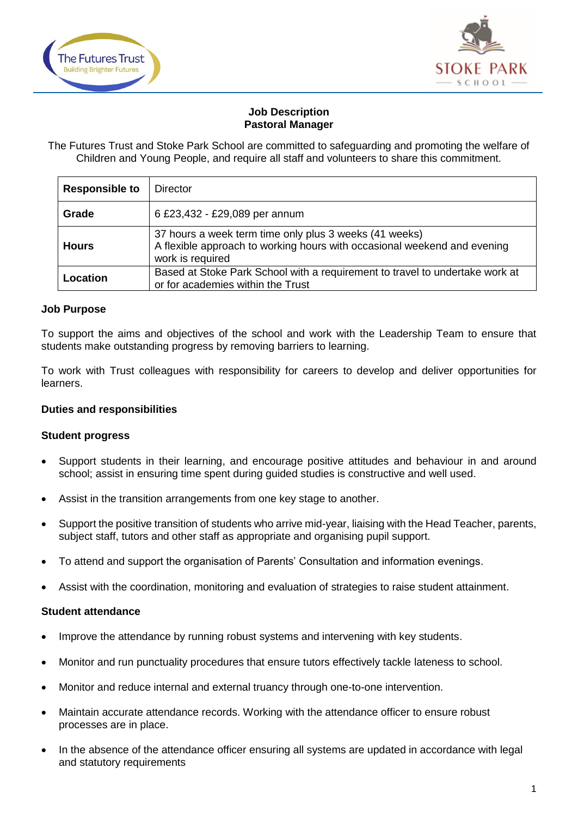



## **Job Description Pastoral Manager**

The Futures Trust and Stoke Park School are committed to safeguarding and promoting the welfare of Children and Young People, and require all staff and volunteers to share this commitment.

| <b>Responsible to</b> | <b>Director</b>                                                                                                                                        |
|-----------------------|--------------------------------------------------------------------------------------------------------------------------------------------------------|
| Grade                 | 6 £23,432 - £29,089 per annum                                                                                                                          |
| <b>Hours</b>          | 37 hours a week term time only plus 3 weeks (41 weeks)<br>A flexible approach to working hours with occasional weekend and evening<br>work is required |
| Location              | Based at Stoke Park School with a requirement to travel to undertake work at<br>or for academies within the Trust                                      |

### **Job Purpose**

To support the aims and objectives of the school and work with the Leadership Team to ensure that students make outstanding progress by removing barriers to learning.

To work with Trust colleagues with responsibility for careers to develop and deliver opportunities for learners.

## **Duties and responsibilities**

#### **Student progress**

- Support students in their learning, and encourage positive attitudes and behaviour in and around school; assist in ensuring time spent during guided studies is constructive and well used.
- Assist in the transition arrangements from one key stage to another.
- Support the positive transition of students who arrive mid-year, liaising with the Head Teacher, parents, subject staff, tutors and other staff as appropriate and organising pupil support.
- To attend and support the organisation of Parents' Consultation and information evenings.
- Assist with the coordination, monitoring and evaluation of strategies to raise student attainment.

#### **Student attendance**

- Improve the attendance by running robust systems and intervening with key students.
- Monitor and run punctuality procedures that ensure tutors effectively tackle lateness to school.
- Monitor and reduce internal and external truancy through one-to-one intervention.
- Maintain accurate attendance records. Working with the attendance officer to ensure robust processes are in place.
- In the absence of the attendance officer ensuring all systems are updated in accordance with legal and statutory requirements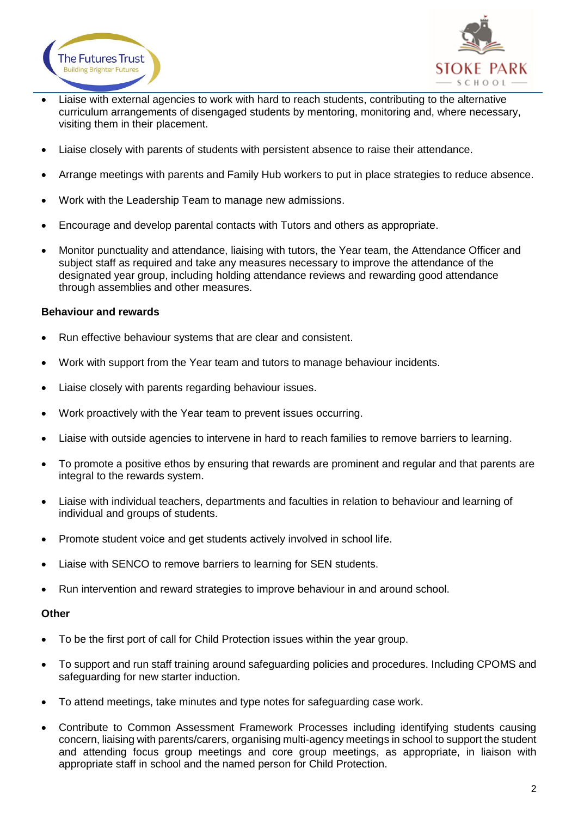



- Liaise with external agencies to work with hard to reach students, contributing to the alternative curriculum arrangements of disengaged students by mentoring, monitoring and, where necessary, visiting them in their placement.
- Liaise closely with parents of students with persistent absence to raise their attendance.
- Arrange meetings with parents and Family Hub workers to put in place strategies to reduce absence.
- Work with the Leadership Team to manage new admissions.
- Encourage and develop parental contacts with Tutors and others as appropriate.
- Monitor punctuality and attendance, liaising with tutors, the Year team, the Attendance Officer and subject staff as required and take any measures necessary to improve the attendance of the designated year group, including holding attendance reviews and rewarding good attendance through assemblies and other measures.

## **Behaviour and rewards**

- Run effective behaviour systems that are clear and consistent.
- Work with support from the Year team and tutors to manage behaviour incidents.
- Liaise closely with parents regarding behaviour issues.
- Work proactively with the Year team to prevent issues occurring.
- Liaise with outside agencies to intervene in hard to reach families to remove barriers to learning.
- To promote a positive ethos by ensuring that rewards are prominent and regular and that parents are integral to the rewards system.
- Liaise with individual teachers, departments and faculties in relation to behaviour and learning of individual and groups of students.
- Promote student voice and get students actively involved in school life.
- Liaise with SENCO to remove barriers to learning for SEN students.
- Run intervention and reward strategies to improve behaviour in and around school.

### **Other**

- To be the first port of call for Child Protection issues within the year group.
- To support and run staff training around safeguarding policies and procedures. Including CPOMS and safeguarding for new starter induction.
- To attend meetings, take minutes and type notes for safeguarding case work.
- Contribute to Common Assessment Framework Processes including identifying students causing concern, liaising with parents/carers, organising multi-agency meetings in school to support the student and attending focus group meetings and core group meetings, as appropriate, in liaison with appropriate staff in school and the named person for Child Protection.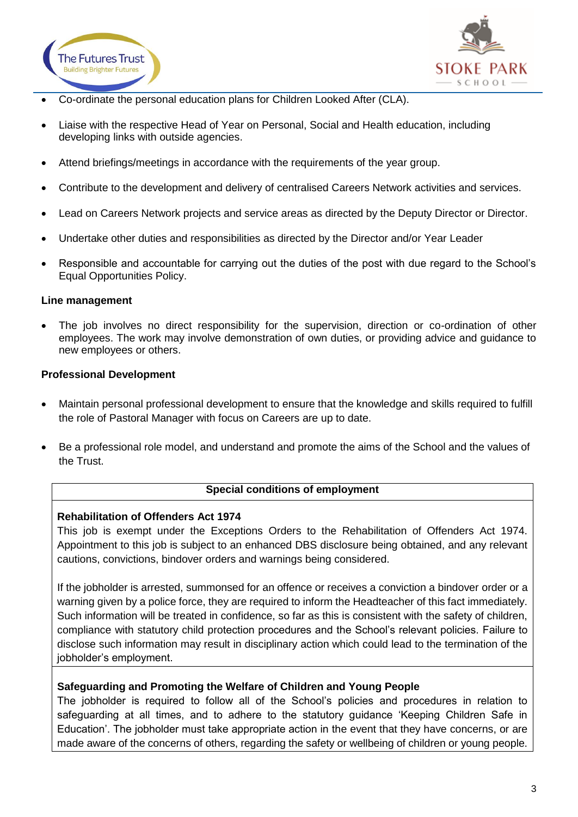



- Co-ordinate the personal education plans for Children Looked After (CLA).
- Liaise with the respective Head of Year on Personal, Social and Health education, including developing links with outside agencies.
- Attend briefings/meetings in accordance with the requirements of the year group.
- Contribute to the development and delivery of centralised Careers Network activities and services.
- Lead on Careers Network projects and service areas as directed by the Deputy Director or Director.
- Undertake other duties and responsibilities as directed by the Director and/or Year Leader
- Responsible and accountable for carrying out the duties of the post with due regard to the School's Equal Opportunities Policy.

### **Line management**

 The job involves no direct responsibility for the supervision, direction or co-ordination of other employees. The work may involve demonstration of own duties, or providing advice and guidance to new employees or others.

### **Professional Development**

- Maintain personal professional development to ensure that the knowledge and skills required to fulfill the role of Pastoral Manager with focus on Careers are up to date.
- Be a professional role model, and understand and promote the aims of the School and the values of the Trust.

### **Special conditions of employment**

### **Rehabilitation of Offenders Act 1974**

This job is exempt under the Exceptions Orders to the Rehabilitation of Offenders Act 1974. Appointment to this job is subject to an enhanced DBS disclosure being obtained, and any relevant cautions, convictions, bindover orders and warnings being considered.

If the jobholder is arrested, summonsed for an offence or receives a conviction a bindover order or a warning given by a police force, they are required to inform the Headteacher of this fact immediately. Such information will be treated in confidence, so far as this is consistent with the safety of children, compliance with statutory child protection procedures and the School's relevant policies. Failure to disclose such information may result in disciplinary action which could lead to the termination of the jobholder's employment.

### **Safeguarding and Promoting the Welfare of Children and Young People**

The jobholder is required to follow all of the School's policies and procedures in relation to safeguarding at all times, and to adhere to the statutory guidance 'Keeping Children Safe in Education'. The jobholder must take appropriate action in the event that they have concerns, or are made aware of the concerns of others, regarding the safety or wellbeing of children or young people.